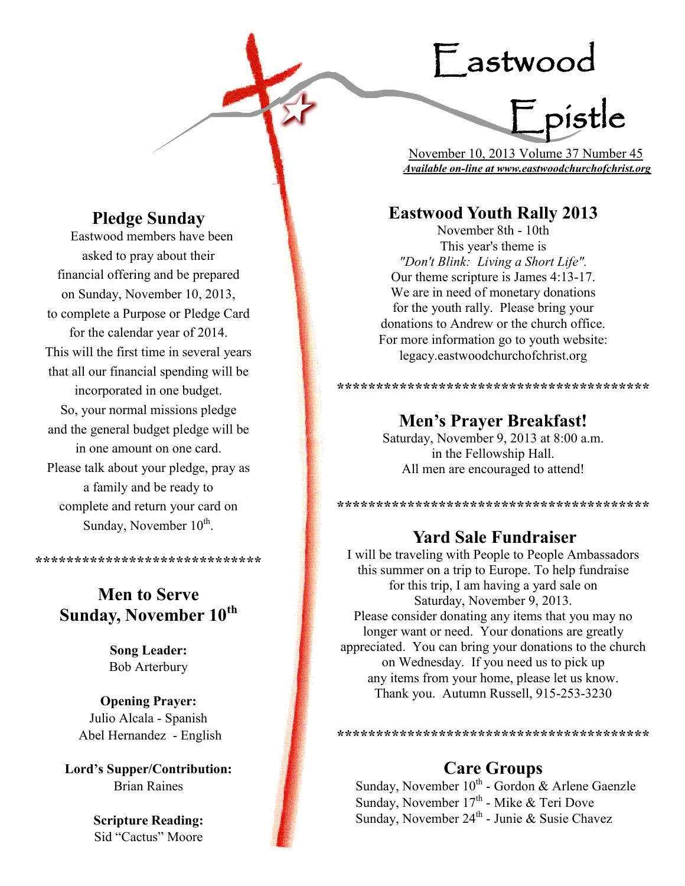# Eastwood

F pistle

 November 10, 2013 Volume 37 Number 45 *Available on-line at www.eastwoodchurchofchrist.org*

## **Eastwood Youth Rally 2013**

November 8th - 10th This year's theme is *"Don't Blink: Living a Short Life".*  Our theme scripture is James 4:13-17. We are in need of monetary donations for the youth rally. Please bring your donations to Andrew or the church office. For more information go to youth website: legacy.eastwoodchurchofchrist.org

## **\*\*\*\*\*\*\*\*\*\*\*\*\*\*\*\*\*\*\*\*\*\*\*\*\*\*\*\*\*\*\*\*\*\*\*\*\*\*\*\***

## **Men's Prayer Breakfast!**

Saturday, November 9, 2013 at 8:00 a.m. in the Fellowship Hall. All men are encouraged to attend!

**\*\*\*\*\*\*\*\*\*\*\*\*\*\*\*\*\*\*\*\*\*\*\*\*\*\*\*\*\*\*\*\*\*\*\*\*\*\*\*\***

## **Yard Sale Fundraiser**

I will be traveling with People to People Ambassadors this summer on a trip to Europe. To help fundraise for this trip, I am having a yard sale on Saturday, November 9, 2013. Please consider donating any items that you may no longer want or need. Your donations are greatly appreciated. You can bring your donations to the church on Wednesday. If you need us to pick up any items from your home, please let us know. Thank you. Autumn Russell, 915-253-3230

#### **\*\*\*\*\*\*\*\*\*\*\*\*\*\*\*\*\*\*\*\*\*\*\*\*\*\*\*\*\*\*\*\*\*\*\*\*\*\*\*\***

## **Care Groups**

Sunday, November  $10^{th}$  - Gordon & Arlene Gaenzle Sunday, November 17<sup>th</sup> - Mike & Teri Dove Sunday, November 24<sup>th</sup> - Junie & Susie Chavez

## **Pledge Sunday**

**Eastwood members have been** asked to pray about their financial offering and be prepared on Sunday, November 10, 2013, to complete a Purpose or Pledge Card for the calendar year of 2014. This will the first time in several years that all our financial spending will be incorporated in one budget. So, your normal missions pledge and the general budget pledge will be in one amount on one card. Please talk about your pledge, pray as a family and be ready to complete and return your card on Sunday, November 10<sup>th</sup>.

**\*\*\*\*\*\*\*\*\*\*\*\*\*\*\*\*\*\*\*\*\*\*\*\*\*\*\*\*\***

## **Men to Serve Sunday, November 10th**

**Song Leader:**  Bob Arterbury

**Opening Prayer:** Julio Alcala - Spanish Abel Hernandez - English

**Lord's Supper/Contribution:**  Brian Raines

> **Scripture Reading:**  Sid "Cactus" Moore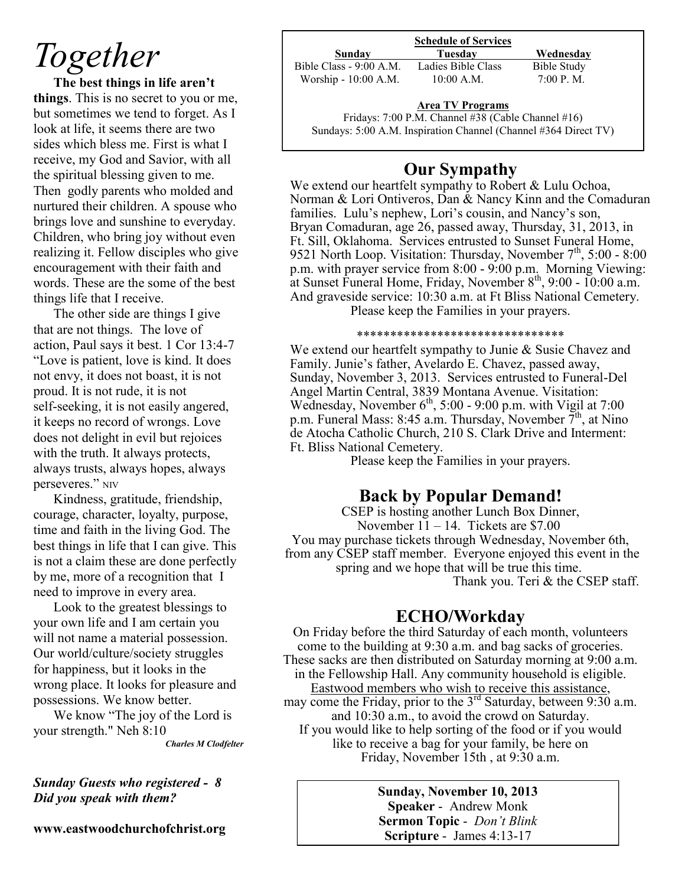## *Together*

**The best things in life aren't things**. This is no secret to you or me, but sometimes we tend to forget. As I look at life, it seems there are two sides which bless me. First is what I receive, my God and Savior, with all the spiritual blessing given to me. Then godly parents who molded and nurtured their children. A spouse who brings love and sunshine to everyday. Children, who bring joy without even realizing it. Fellow disciples who give encouragement with their faith and words. These are the some of the best things life that I receive.

The other side are things I give that are not things. The love of action, Paul says it best. 1 Cor 13:4-7 "Love is patient, love is kind. It does not envy, it does not boast, it is not proud. It is not rude, it is not self-seeking, it is not easily angered, it keeps no record of wrongs. Love does not delight in evil but rejoices with the truth. It always protects, always trusts, always hopes, always perseveres." NIV

Kindness, gratitude, friendship, courage, character, loyalty, purpose, time and faith in the living God. The best things in life that I can give. This is not a claim these are done perfectly by me, more of a recognition that I need to improve in every area.

Look to the greatest blessings to your own life and I am certain you will not name a material possession. Our world/culture/society struggles for happiness, but it looks in the wrong place. It looks for pleasure and possessions. We know better.

We know "The joy of the Lord is your strength." Neh 8:10

*Charles M Clodfelter*

*Sunday Guests who registered - 8 Did you speak with them?*

**www.eastwoodchurchofchrist.org**

#### **Schedule of Services**

**Sunday Tuesday Wednesday** Bible Class - 9:00 A.M. Ladies Bible Class Bible Study Worship - 10:00 A.M. 10:00 A.M. 7:00 P.M.

## **Area TV Programs**

Fridays: 7:00 P.M. Channel #38 (Cable Channel #16) Sundays: 5:00 A.M. Inspiration Channel (Channel #364 Direct TV)

## **Our Sympathy**

We extend our heartfelt sympathy to Robert & Lulu Ochoa, Norman & Lori Ontiveros, Dan & Nancy Kinn and the Comaduran families. Lulu's nephew, Lori's cousin, and Nancy's son, Bryan Comaduran, age 26, passed away, Thursday, 31, 2013, in Ft. Sill, Oklahoma. Services entrusted to Sunset Funeral Home, 9521 North Loop. Visitation: Thursday, November 7<sup>th</sup>, 5:00 - 8:00 p.m. with prayer service from 8:00 - 9:00 p.m. Morning Viewing: at Sunset Funeral Home, Friday, November  $8<sup>th</sup>$ , 9:00 - 10:00 a.m. And graveside service: 10:30 a.m. at Ft Bliss National Cemetery. Please keep the Families in your prayers.

#### \*\*\*\*\*\*\*\*\*\*\*\*\*\*\*\*\*\*\*\*\*\*\*\*\*\*\*\*\*\*\*

We extend our heartfelt sympathy to Junie & Susie Chavez and Family. Junie's father, Avelardo E. Chavez, passed away, Sunday, November 3, 2013. Services entrusted to Funeral-Del Angel Martin Central, 3839 Montana Avenue. Visitation: Wednesday, November  $6<sup>th</sup>$ , 5:00 - 9:00 p.m. with Vigil at 7:00 p.m. Funeral Mass: 8:45 a.m. Thursday, November  $\bar{7}^{\text{th}}$ , at Nino de Atocha Catholic Church, 210 S. Clark Drive and Interment: Ft. Bliss National Cemetery.

Please keep the Families in your prayers.

## **Back by Popular Demand!**

CSEP is hosting another Lunch Box Dinner, November  $11 - 14$ . Tickets are \$7.00 You may purchase tickets through Wednesday, November 6th, from any CSEP staff member. Everyone enjoyed this event in the spring and we hope that will be true this time. Thank you. Teri & the CSEP staff.

## **ECHO/Workday**

On Friday before the third Saturday of each month, volunteers come to the building at 9:30 a.m. and bag sacks of groceries. These sacks are then distributed on Saturday morning at 9:00 a.m. in the Fellowship Hall. Any community household is eligible. Eastwood members who wish to receive this assistance, may come the Friday, prior to the 3<sup>rd</sup> Saturday, between 9:30 a.m. and 10:30 a.m., to avoid the crowd on Saturday. If you would like to help sorting of the food or if you would like to receive a bag for your family, be here on Friday, November 15th , at 9:30 a.m.

> **Sunday, November 10, 2013 Speaker** - Andrew Monk **Sermon Topic** - *Don't Blink* **Scripture** - James 4:13-17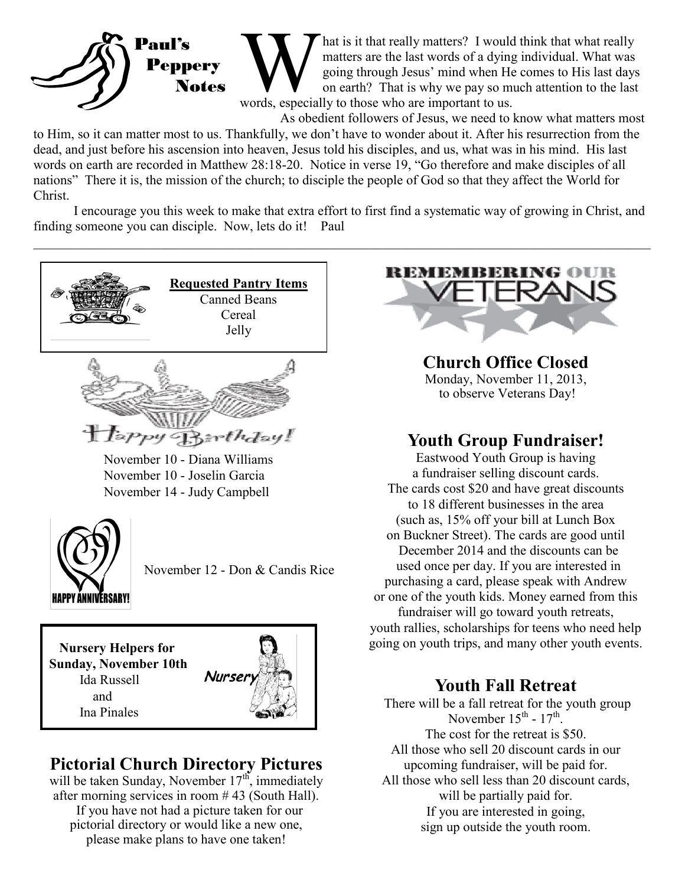

Mat is it that really matters? I would<br>matters are the last words of a dying<br>going through Jesus' mind when He<br>on earth? That is why we pay so mu<br>words, especially to those who are important to us. hat is it that really matters? I would think that what really matters are the last words of a dying individual. What was going through Jesus' mind when He comes to His last days on earth? That is why we pay so much attention to the last

As obedient followers of Jesus, we need to know what matters most

to Him, so it can matter most to us. Thankfully, we don't have to wonder about it. After his resurrection from the dead, and just before his ascension into heaven, Jesus told his disciples, and us, what was in his mind. His last words on earth are recorded in Matthew 28:18-20. Notice in verse 19, "Go therefore and make disciples of all nations" There it is, the mission of the church; to disciple the people of God so that they affect the World for Christ.

I encourage you this week to make that extra effort to first find a systematic way of growing in Christ, and finding someone you can disciple. Now, lets do it! Paul

 $\_$  , and the contribution of the contribution of the contribution of the contribution of the contribution of  $\mathcal{L}_\text{max}$ 



November 10 - Diana Williams November 10 - Joselin Garcia November 14 - Judy Campbell



November 12 - Don & Candis Rice

 **Nursery Helpers for Sunday, November 10th** Ida Russell and Ina Pinales



## **Pictorial Church Directory Pictures**

will be taken Sunday, November  $17^{th}$ , immediately after morning services in room # 43 (South Hall). If you have not had a picture taken for our pictorial directory or would like a new one, please make plans to have one taken!



**Church Office Closed** Monday, November 11, 2013, to observe Veterans Day!

## **Youth Group Fundraiser!**

Eastwood Youth Group is having a fundraiser selling discount cards. The cards cost \$20 and have great discounts to 18 different businesses in the area (such as, 15% off your bill at Lunch Box on Buckner Street). The cards are good until December 2014 and the discounts can be used once per day. If you are interested in purchasing a card, please speak with Andrew or one of the youth kids. Money earned from this fundraiser will go toward youth retreats, youth rallies, scholarships for teens who need help going on youth trips, and many other youth events.

## **Youth Fall Retreat**

There will be a fall retreat for the youth group November  $15^{\text{th}}$  -  $17^{\text{th}}$ . The cost for the retreat is \$50. All those who sell 20 discount cards in our upcoming fundraiser, will be paid for. All those who sell less than 20 discount cards, will be partially paid for. If you are interested in going, sign up outside the youth room.